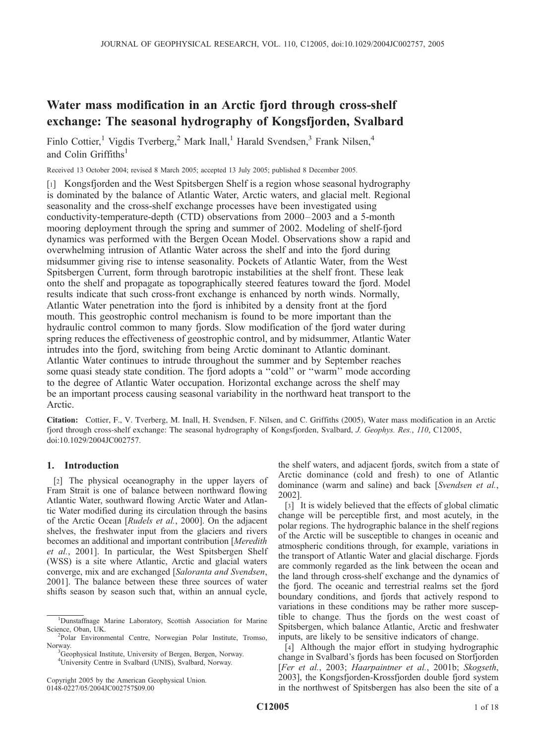# Water mass modification in an Arctic fjord through cross-shelf exchange: The seasonal hydrography of Kongsfjorden, Svalbard

Finlo Cottier,<sup>1</sup> Vigdis Tverberg,<sup>2</sup> Mark Inall,<sup>1</sup> Harald Svendsen,<sup>3</sup> Frank Nilsen,<sup>4</sup> and Colin Griffiths<sup>1</sup>

Received 13 October 2004; revised 8 March 2005; accepted 13 July 2005; published 8 December 2005.

[1] Kongsfjorden and the West Spitsbergen Shelf is a region whose seasonal hydrography is dominated by the balance of Atlantic Water, Arctic waters, and glacial melt. Regional seasonality and the cross-shelf exchange processes have been investigated using conductivity-temperature-depth (CTD) observations from 2000–2003 and a 5-month mooring deployment through the spring and summer of 2002. Modeling of shelf-fjord dynamics was performed with the Bergen Ocean Model. Observations show a rapid and overwhelming intrusion of Atlantic Water across the shelf and into the fjord during midsummer giving rise to intense seasonality. Pockets of Atlantic Water, from the West Spitsbergen Current, form through barotropic instabilities at the shelf front. These leak onto the shelf and propagate as topographically steered features toward the fjord. Model results indicate that such cross-front exchange is enhanced by north winds. Normally, Atlantic Water penetration into the fjord is inhibited by a density front at the fjord mouth. This geostrophic control mechanism is found to be more important than the hydraulic control common to many fjords. Slow modification of the fjord water during spring reduces the effectiveness of geostrophic control, and by midsummer, Atlantic Water intrudes into the fjord, switching from being Arctic dominant to Atlantic dominant. Atlantic Water continues to intrude throughout the summer and by September reaches some quasi steady state condition. The fjord adopts a ''cold'' or ''warm'' mode according to the degree of Atlantic Water occupation. Horizontal exchange across the shelf may be an important process causing seasonal variability in the northward heat transport to the Arctic.

Citation: Cottier, F., V. Tverberg, M. Inall, H. Svendsen, F. Nilsen, and C. Griffiths (2005), Water mass modification in an Arctic fjord through cross-shelf exchange: The seasonal hydrography of Kongsfjorden, Svalbard, J. Geophys. Res., 110, C12005, doi:10.1029/2004JC002757.

# 1. Introduction

[2] The physical oceanography in the upper layers of Fram Strait is one of balance between northward flowing Atlantic Water, southward flowing Arctic Water and Atlantic Water modified during its circulation through the basins of the Arctic Ocean [Rudels et al., 2000]. On the adjacent shelves, the freshwater input from the glaciers and rivers becomes an additional and important contribution [Meredith et al., 2001]. In particular, the West Spitsbergen Shelf (WSS) is a site where Atlantic, Arctic and glacial waters converge, mix and are exchanged [Saloranta and Svendsen, 2001]. The balance between these three sources of water shifts season by season such that, within an annual cycle,

Copyright 2005 by the American Geophysical Union. 0148-0227/05/2004JC002757\$09.00

the shelf waters, and adjacent fjords, switch from a state of Arctic dominance (cold and fresh) to one of Atlantic dominance (warm and saline) and back [Svendsen et al., 2002].

[3] It is widely believed that the effects of global climatic change will be perceptible first, and most acutely, in the polar regions. The hydrographic balance in the shelf regions of the Arctic will be susceptible to changes in oceanic and atmospheric conditions through, for example, variations in the transport of Atlantic Water and glacial discharge. Fjords are commonly regarded as the link between the ocean and the land through cross-shelf exchange and the dynamics of the fjord. The oceanic and terrestrial realms set the fjord boundary conditions, and fjords that actively respond to variations in these conditions may be rather more susceptible to change. Thus the fjords on the west coast of Spitsbergen, which balance Atlantic, Arctic and freshwater inputs, are likely to be sensitive indicators of change.

[4] Although the major effort in studying hydrographic change in Svalbard's fjords has been focused on Storfjorden [Fer et al., 2003; Haarpaintner et al., 2001b; Skogseth, 2003], the Kongsfjorden-Krossfjorden double fjord system in the northwest of Spitsbergen has also been the site of a

<sup>&</sup>lt;sup>1</sup>Dunstaffnage Marine Laboratory, Scottish Association for Marine Science, Oban, UK.

<sup>&</sup>lt;sup>2</sup>Polar Environmental Centre, Norwegian Polar Institute, Tromso, Norway.

<sup>&</sup>lt;sup>3</sup>Geophysical Institute, University of Bergen, Bergen, Norway. 4 University Centre in Svalbard (UNIS), Svalbard, Norway.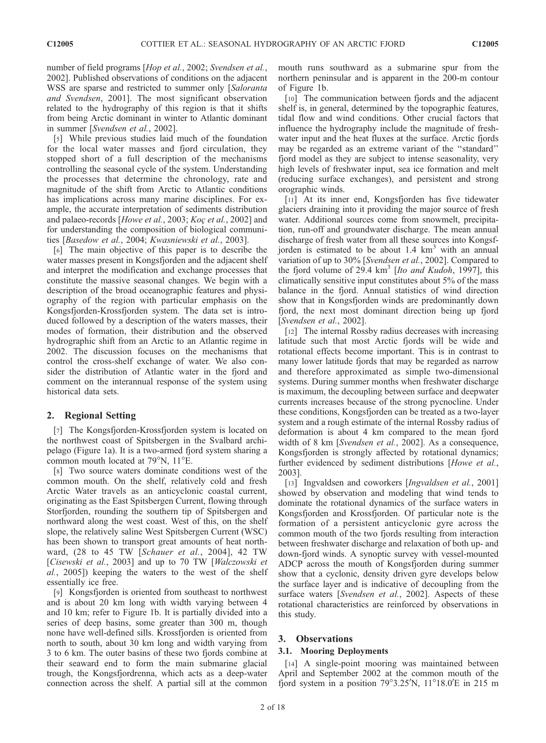number of field programs [Hop et al., 2002; Svendsen et al., 2002]. Published observations of conditions on the adjacent WSS are sparse and restricted to summer only [Saloranta and Svendsen, 2001]. The most significant observation related to the hydrography of this region is that it shifts from being Arctic dominant in winter to Atlantic dominant in summer [Svendsen et al., 2002].

[5] While previous studies laid much of the foundation for the local water masses and fjord circulation, they stopped short of a full description of the mechanisms controlling the seasonal cycle of the system. Understanding the processes that determine the chronology, rate and magnitude of the shift from Arctic to Atlantic conditions has implications across many marine disciplines. For example, the accurate interpretation of sediments distribution and palaeo-records [Howe et al., 2003; Koc et al., 2002] and for understanding the composition of biological communities [Basedow et al., 2004; Kwasniewski et al., 2003].

[6] The main objective of this paper is to describe the water masses present in Kongsfjorden and the adjacent shelf and interpret the modification and exchange processes that constitute the massive seasonal changes. We begin with a description of the broad oceanographic features and physiography of the region with particular emphasis on the Kongsfjorden-Krossfjorden system. The data set is introduced followed by a description of the waters masses, their modes of formation, their distribution and the observed hydrographic shift from an Arctic to an Atlantic regime in 2002. The discussion focuses on the mechanisms that control the cross-shelf exchange of water. We also consider the distribution of Atlantic water in the fjord and comment on the interannual response of the system using historical data sets.

## 2. Regional Setting

[7] The Kongsfjorden-Krossfjorden system is located on the northwest coast of Spitsbergen in the Svalbard archipelago (Figure 1a). It is a two-armed fjord system sharing a common mouth located at  $79^{\circ}$ N,  $11^{\circ}$ E.

[8] Two source waters dominate conditions west of the common mouth. On the shelf, relatively cold and fresh Arctic Water travels as an anticyclonic coastal current, originating as the East Spitsbergen Current, flowing through Storfjorden, rounding the southern tip of Spitsbergen and northward along the west coast. West of this, on the shelf slope, the relatively saline West Spitsbergen Current (WSC) has been shown to transport great amounts of heat northward, (28 to 45 TW [Schauer et al., 2004], 42 TW [Cisewski et al., 2003] and up to 70 TW [Walczowski et al., 2005]) keeping the waters to the west of the shelf essentially ice free.

[9] Kongsfjorden is oriented from southeast to northwest and is about 20 km long with width varying between 4 and 10 km; refer to Figure 1b. It is partially divided into a series of deep basins, some greater than 300 m, though none have well-defined sills. Krossfjorden is oriented from north to south, about 30 km long and width varying from 3 to 6 km. The outer basins of these two fjords combine at their seaward end to form the main submarine glacial trough, the Kongsfjordrenna, which acts as a deep-water connection across the shelf. A partial sill at the common mouth runs southward as a submarine spur from the northern peninsular and is apparent in the 200-m contour of Figure 1b.

[10] The communication between fjords and the adjacent shelf is, in general, determined by the topographic features, tidal flow and wind conditions. Other crucial factors that influence the hydrography include the magnitude of freshwater input and the heat fluxes at the surface. Arctic fjords may be regarded as an extreme variant of the ''standard'' fjord model as they are subject to intense seasonality, very high levels of freshwater input, sea ice formation and melt (reducing surface exchanges), and persistent and strong orographic winds.

[11] At its inner end, Kongsfjorden has five tidewater glaciers draining into it providing the major source of fresh water. Additional sources come from snowmelt, precipitation, run-off and groundwater discharge. The mean annual discharge of fresh water from all these sources into Kongsfjorden is estimated to be about  $1.4 \text{ km}^3$  with an annual variation of up to 30% [Svendsen et al., 2002]. Compared to the fjord volume of 29.4  $km^3$  [*Ito and Kudoh*, 1997], this climatically sensitive input constitutes about 5% of the mass balance in the fjord. Annual statistics of wind direction show that in Kongsfjorden winds are predominantly down fjord, the next most dominant direction being up fjord [Svendsen et al., 2002].

[12] The internal Rossby radius decreases with increasing latitude such that most Arctic fjords will be wide and rotational effects become important. This is in contrast to many lower latitude fjords that may be regarded as narrow and therefore approximated as simple two-dimensional systems. During summer months when freshwater discharge is maximum, the decoupling between surface and deepwater currents increases because of the strong pycnocline. Under these conditions, Kongsfjorden can be treated as a two-layer system and a rough estimate of the internal Rossby radius of deformation is about 4 km compared to the mean fjord width of 8 km [Svendsen et al., 2002]. As a consequence, Kongsfjorden is strongly affected by rotational dynamics; further evidenced by sediment distributions [Howe et al., 2003].

[13] Ingvaldsen and coworkers [*Ingvaldsen et al.*, 2001] showed by observation and modeling that wind tends to dominate the rotational dynamics of the surface waters in Kongsfjorden and Krossfjorden. Of particular note is the formation of a persistent anticyclonic gyre across the common mouth of the two fjords resulting from interaction between freshwater discharge and relaxation of both up- and down-fjord winds. A synoptic survey with vessel-mounted ADCP across the mouth of Kongsfjorden during summer show that a cyclonic, density driven gyre develops below the surface layer and is indicative of decoupling from the surface waters [Svendsen et al., 2002]. Aspects of these rotational characteristics are reinforced by observations in this study.

# 3. Observations

## 3.1. Mooring Deployments

[14] A single-point mooring was maintained between April and September 2002 at the common mouth of the fjord system in a position  $79^{\circ}3.25'N$ ,  $11^{\circ}18.0'E$  in 215 m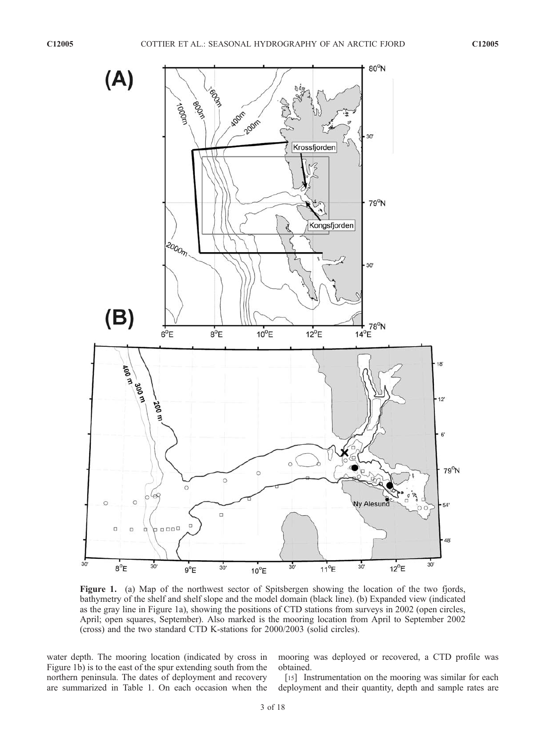

Figure 1. (a) Map of the northwest sector of Spitsbergen showing the location of the two fjords, bathymetry of the shelf and shelf slope and the model domain (black line). (b) Expanded view (indicated as the gray line in Figure 1a), showing the positions of CTD stations from surveys in 2002 (open circles, April; open squares, September). Also marked is the mooring location from April to September 2002 (cross) and the two standard CTD K-stations for 2000/2003 (solid circles).

water depth. The mooring location (indicated by cross in Figure 1b) is to the east of the spur extending south from the northern peninsula. The dates of deployment and recovery are summarized in Table 1. On each occasion when the mooring was deployed or recovered, a CTD profile was obtained.

[15] Instrumentation on the mooring was similar for each deployment and their quantity, depth and sample rates are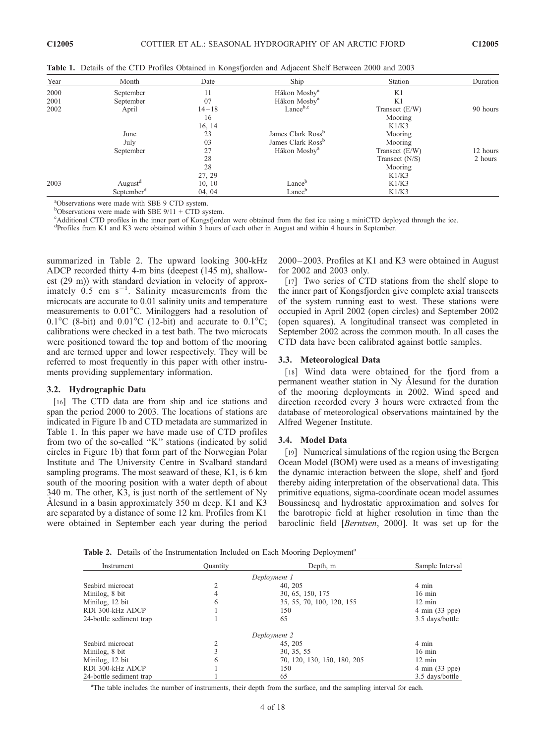| Year | Month                  | Date      | Ship                          | Station          | Duration |
|------|------------------------|-----------|-------------------------------|------------------|----------|
| 2000 | September              | 11        | Håkon Mosby <sup>a</sup>      | K1               |          |
| 2001 | September              | 07        | Håkon Mosby <sup>a</sup>      | K1               |          |
| 2002 | April                  | $14 - 18$ | Lanceb,c                      | Transect (E/W)   | 90 hours |
|      |                        | 16        |                               | Mooring          |          |
|      |                        | 16, 14    |                               | K1/K3            |          |
|      | June                   | 23        | James Clark Ross <sup>b</sup> | Mooring          |          |
|      | July                   | 03        | James Clark Ross <sup>b</sup> | Mooring          |          |
|      | September              | 27        | Håkon Mosby <sup>a</sup>      | Transect $(E/W)$ | 12 hours |
|      |                        | 28        |                               | Transect (N/S)   | 2 hours  |
|      |                        | 28        |                               | Mooring          |          |
|      |                        | 27, 29    |                               | K1/K3            |          |
| 2003 | August <sup>d</sup>    | 10, 10    | Lanceb                        | K1/K3            |          |
|      | September <sup>d</sup> | 04, 04    | Lance <sup>b</sup>            | K1/K3            |          |

Table 1. Details of the CTD Profiles Obtained in Kongsfjorden and Adjacent Shelf Between 2000 and 2003

a Observations were made with SBE 9 CTD system.

<sup>b</sup>Observations were made with SBE  $9/11 + CTD$  system.

c Additional CTD profiles in the inner part of Kongsfjorden were obtained from the fast ice using a miniCTD deployed through the ice.

<sup>d</sup>Profiles from K1 and K3 were obtained within 3 hours of each other in August and within 4 hours in September.

summarized in Table 2. The upward looking 300-kHz ADCP recorded thirty 4-m bins (deepest (145 m), shallowest (29 m)) with standard deviation in velocity of approximately  $0.5$  cm s<sup>-1</sup>. Salinity measurements from the microcats are accurate to 0.01 salinity units and temperature measurements to 0.01°C. Miniloggers had a resolution of 0.1°C (8-bit) and 0.01°C (12-bit) and accurate to 0.1°C; calibrations were checked in a test bath. The two microcats were positioned toward the top and bottom of the mooring and are termed upper and lower respectively. They will be referred to most frequently in this paper with other instruments providing supplementary information.

#### 3.2. Hydrographic Data

[16] The CTD data are from ship and ice stations and span the period 2000 to 2003. The locations of stations are indicated in Figure 1b and CTD metadata are summarized in Table 1. In this paper we have made use of CTD profiles from two of the so-called ''K'' stations (indicated by solid circles in Figure 1b) that form part of the Norwegian Polar Institute and The University Centre in Svalbard standard sampling programs. The most seaward of these, K1, is 6 km south of the mooring position with a water depth of about 340 m. The other, K3, is just north of the settlement of Ny Alesund in a basin approximately  $350$  m deep. K1 and K3 are separated by a distance of some 12 km. Profiles from K1 were obtained in September each year during the period 2000– 2003. Profiles at K1 and K3 were obtained in August for 2002 and 2003 only.

[17] Two series of CTD stations from the shelf slope to the inner part of Kongsfjorden give complete axial transects of the system running east to west. These stations were occupied in April 2002 (open circles) and September 2002 (open squares). A longitudinal transect was completed in September 2002 across the common mouth. In all cases the CTD data have been calibrated against bottle samples.

#### 3.3. Meteorological Data

[18] Wind data were obtained for the fjord from a permanent weather station in Ny Alesund for the duration of the mooring deployments in 2002. Wind speed and direction recorded every 3 hours were extracted from the database of meteorological observations maintained by the Alfred Wegener Institute.

#### 3.4. Model Data

[19] Numerical simulations of the region using the Bergen Ocean Model (BOM) were used as a means of investigating the dynamic interaction between the slope, shelf and fjord thereby aiding interpretation of the observational data. This primitive equations, sigma-coordinate ocean model assumes Boussinesq and hydrostatic approximation and solves for the barotropic field at higher resolution in time than the baroclinic field [Berntsen, 2000]. It was set up for the

Table 2. Details of the Instrumentation Included on Each Mooring Deployment<sup>a</sup>

| Instrument              | Ouantity | Depth, m                    | Sample Interval                   |
|-------------------------|----------|-----------------------------|-----------------------------------|
|                         |          | Deployment 1                |                                   |
| Seabird microcat        | 2        | 40, 205                     | 4 min                             |
| Minilog, 8 bit          | 4        | 30, 65, 150, 175            | $16 \text{ min}$                  |
| Minilog, 12 bit         | 6        | 35, 55, 70, 100, 120, 155   | $12 \text{ min}$                  |
| RDI 300-kHz ADCP        |          | 150                         | $4 \text{ min } (33 \text{ ppc})$ |
| 24-bottle sediment trap |          | 65                          | 3.5 days/bottle                   |
|                         |          | Deployment 2                |                                   |
| Seabird microcat        | 2        | 45, 205                     | 4 min                             |
| Minilog, 8 bit          | 3        | 30, 35, 55                  | $16 \text{ min}$                  |
| Minilog, 12 bit         | 6        | 70, 120, 130, 150, 180, 205 | $12 \text{ min}$                  |
| RDI 300-kHz ADCP        |          | 150                         | $4 \text{ min } (33 \text{ ppe})$ |
| 24-bottle sediment trap |          | 65                          | 3.5 days/bottle                   |

<sup>a</sup>The table includes the number of instruments, their depth from the surface, and the sampling interval for each.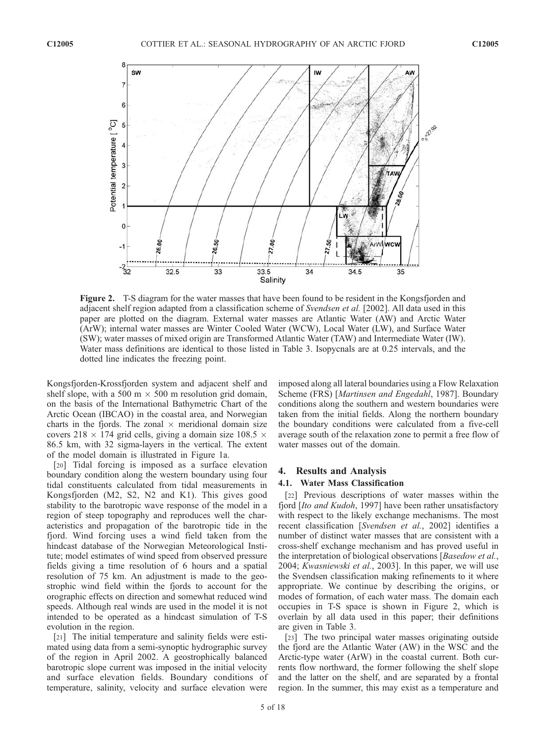

Figure 2. T-S diagram for the water masses that have been found to be resident in the Kongsfjorden and adjacent shelf region adapted from a classification scheme of *Svendsen et al.* [2002]. All data used in this paper are plotted on the diagram. External water masses are Atlantic Water (AW) and Arctic Water (ArW); internal water masses are Winter Cooled Water (WCW), Local Water (LW), and Surface Water (SW); water masses of mixed origin are Transformed Atlantic Water (TAW) and Intermediate Water (IW). Water mass definitions are identical to those listed in Table 3. Isopycnals are at 0.25 intervals, and the dotted line indicates the freezing point.

Kongsfjorden-Krossfjorden system and adjacent shelf and shelf slope, with a 500 m  $\times$  500 m resolution grid domain, on the basis of the International Bathymetric Chart of the Arctic Ocean (IBCAO) in the coastal area, and Norwegian charts in the fjords. The zonal  $\times$  meridional domain size covers 218  $\times$  174 grid cells, giving a domain size 108.5  $\times$ 86.5 km, with 32 sigma-layers in the vertical. The extent of the model domain is illustrated in Figure 1a.

[20] Tidal forcing is imposed as a surface elevation boundary condition along the western boundary using four tidal constituents calculated from tidal measurements in Kongsfjorden (M2, S2, N2 and K1). This gives good stability to the barotropic wave response of the model in a region of steep topography and reproduces well the characteristics and propagation of the barotropic tide in the fjord. Wind forcing uses a wind field taken from the hindcast database of the Norwegian Meteorological Institute; model estimates of wind speed from observed pressure fields giving a time resolution of 6 hours and a spatial resolution of 75 km. An adjustment is made to the geostrophic wind field within the fjords to account for the orographic effects on direction and somewhat reduced wind speeds. Although real winds are used in the model it is not intended to be operated as a hindcast simulation of T-S evolution in the region.

[21] The initial temperature and salinity fields were estimated using data from a semi-synoptic hydrographic survey of the region in April 2002. A geostrophically balanced barotropic slope current was imposed in the initial velocity and surface elevation fields. Boundary conditions of temperature, salinity, velocity and surface elevation were

imposed along all lateral boundaries using a Flow Relaxation Scheme (FRS) [Martinsen and Engedahl, 1987]. Boundary conditions along the southern and western boundaries were taken from the initial fields. Along the northern boundary the boundary conditions were calculated from a five-cell average south of the relaxation zone to permit a free flow of water masses out of the domain.

# 4. Results and Analysis

## 4.1. Water Mass Classification

[22] Previous descriptions of water masses within the fjord [Ito and Kudoh, 1997] have been rather unsatisfactory with respect to the likely exchange mechanisms. The most recent classification [Svendsen et al., 2002] identifies a number of distinct water masses that are consistent with a cross-shelf exchange mechanism and has proved useful in the interpretation of biological observations [Basedow et al., 2004; Kwasniewski et al., 2003]. In this paper, we will use the Svendsen classification making refinements to it where appropriate. We continue by describing the origins, or modes of formation, of each water mass. The domain each occupies in T-S space is shown in Figure 2, which is overlain by all data used in this paper; their definitions are given in Table 3.

[23] The two principal water masses originating outside the fjord are the Atlantic Water (AW) in the WSC and the Arctic-type water (ArW) in the coastal current. Both currents flow northward, the former following the shelf slope and the latter on the shelf, and are separated by a frontal region. In the summer, this may exist as a temperature and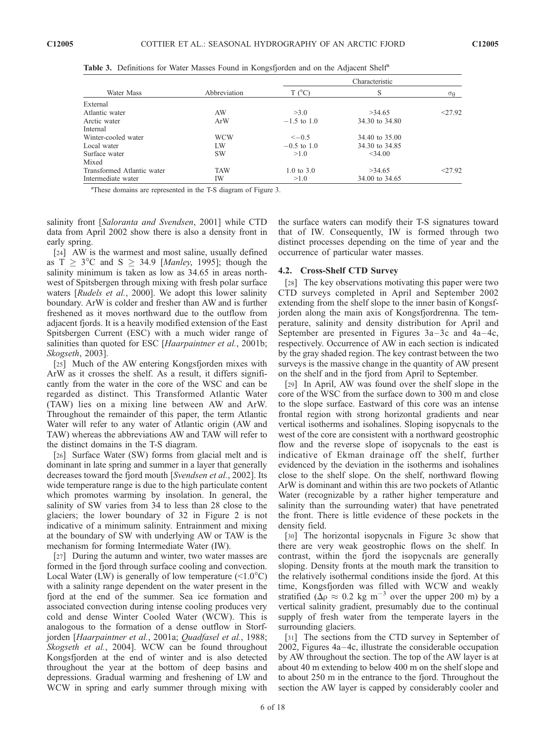|                            | Abbreviation | Characteristic        |                |                   |
|----------------------------|--------------|-----------------------|----------------|-------------------|
| Water Mass                 |              | $T (^{\circ}C)$       | S              | $\sigma_{\theta}$ |
| External                   |              |                       |                |                   |
| Atlantic water             | AW           | >3.0                  | >34.65         | < 27.92           |
| Arctic water               | ArW          | $-1.5$ to 1.0         | 34.30 to 34.80 |                   |
| Internal                   |              |                       |                |                   |
| Winter-cooled water        | <b>WCW</b>   | $\leq -0.5$           | 34.40 to 35.00 |                   |
| Local water                | LW           | $-0.5$ to 1.0         | 34.30 to 34.85 |                   |
| Surface water              | <b>SW</b>    | >1.0                  | $<$ 34.00      |                   |
| Mixed                      |              |                       |                |                   |
| Transformed Atlantic water | <b>TAW</b>   | $1.0 \text{ to } 3.0$ | >34.65         | < 27.92           |
| Intermediate water         | <b>IW</b>    | >1.0                  | 34.00 to 34.65 |                   |

Table 3. Definitions for Water Masses Found in Kongsfjorden and on the Adjacent Shelf<sup>a</sup>

<sup>a</sup>These domains are represented in the T-S diagram of Figure 3.

salinity front [Saloranta and Svendsen, 2001] while CTD data from April 2002 show there is also a density front in early spring.

[24] AW is the warmest and most saline, usually defined as  $T \geq 3^{\circ}C$  and  $S \geq 34.9$  [*Manley*, 1995]; though the salinity minimum is taken as low as 34.65 in areas northwest of Spitsbergen through mixing with fresh polar surface waters [Rudels et al., 2000]. We adopt this lower salinity boundary. ArW is colder and fresher than AW and is further freshened as it moves northward due to the outflow from adjacent fjords. It is a heavily modified extension of the East Spitsbergen Current (ESC) with a much wider range of salinities than quoted for ESC [Haarpaintner et al., 2001b; Skogseth, 2003].

[25] Much of the AW entering Kongsfjorden mixes with ArW as it crosses the shelf. As a result, it differs significantly from the water in the core of the WSC and can be regarded as distinct. This Transformed Atlantic Water (TAW) lies on a mixing line between AW and ArW. Throughout the remainder of this paper, the term Atlantic Water will refer to any water of Atlantic origin (AW and TAW) whereas the abbreviations AW and TAW will refer to the distinct domains in the T-S diagram.

[26] Surface Water (SW) forms from glacial melt and is dominant in late spring and summer in a layer that generally decreases toward the fjord mouth [Svendsen et al., 2002]. Its wide temperature range is due to the high particulate content which promotes warming by insolation. In general, the salinity of SW varies from 34 to less than 28 close to the glaciers; the lower boundary of 32 in Figure 2 is not indicative of a minimum salinity. Entrainment and mixing at the boundary of SW with underlying AW or TAW is the mechanism for forming Intermediate Water (IW).

[27] During the autumn and winter, two water masses are formed in the fjord through surface cooling and convection. Local Water (LW) is generally of low temperature  $(\leq 1.0^{\circ}C)$ with a salinity range dependent on the water present in the fjord at the end of the summer. Sea ice formation and associated convection during intense cooling produces very cold and dense Winter Cooled Water (WCW). This is analogous to the formation of a dense outflow in Storfjorden [Haarpaintner et al., 2001a; Quadfasel et al., 1988; Skogseth et al., 2004]. WCW can be found throughout Kongsfjorden at the end of winter and is also detected throughout the year at the bottom of deep basins and depressions. Gradual warming and freshening of LW and WCW in spring and early summer through mixing with

the surface waters can modify their T-S signatures toward that of IW. Consequently, IW is formed through two distinct processes depending on the time of year and the occurrence of particular water masses.

## 4.2. Cross-Shelf CTD Survey

[28] The key observations motivating this paper were two CTD surveys completed in April and September 2002 extending from the shelf slope to the inner basin of Kongsfjorden along the main axis of Kongsfjordrenna. The temperature, salinity and density distribution for April and September are presented in Figures  $3a-3c$  and  $4a-4c$ , respectively. Occurrence of AW in each section is indicated by the gray shaded region. The key contrast between the two surveys is the massive change in the quantity of AW present on the shelf and in the fjord from April to September.

[29] In April, AW was found over the shelf slope in the core of the WSC from the surface down to 300 m and close to the slope surface. Eastward of this core was an intense frontal region with strong horizontal gradients and near vertical isotherms and isohalines. Sloping isopycnals to the west of the core are consistent with a northward geostrophic flow and the reverse slope of isopycnals to the east is indicative of Ekman drainage off the shelf, further evidenced by the deviation in the isotherms and isohalines close to the shelf slope. On the shelf, northward flowing ArW is dominant and within this are two pockets of Atlantic Water (recognizable by a rather higher temperature and salinity than the surrounding water) that have penetrated the front. There is little evidence of these pockets in the density field.

[30] The horizontal isopycnals in Figure 3c show that there are very weak geostrophic flows on the shelf. In contrast, within the fjord the isopycnals are generally sloping. Density fronts at the mouth mark the transition to the relatively isothermal conditions inside the fjord. At this time, Kongsfjorden was filled with WCW and weakly stratified ( $\Delta \rho \approx 0.2$  kg m<sup>-3</sup> over the upper 200 m) by a vertical salinity gradient, presumably due to the continual supply of fresh water from the temperate layers in the surrounding glaciers.

[31] The sections from the CTD survey in September of 2002, Figures 4a – 4c, illustrate the considerable occupation by AW throughout the section. The top of the AW layer is at about 40 m extending to below 400 m on the shelf slope and to about 250 m in the entrance to the fjord. Throughout the section the AW layer is capped by considerably cooler and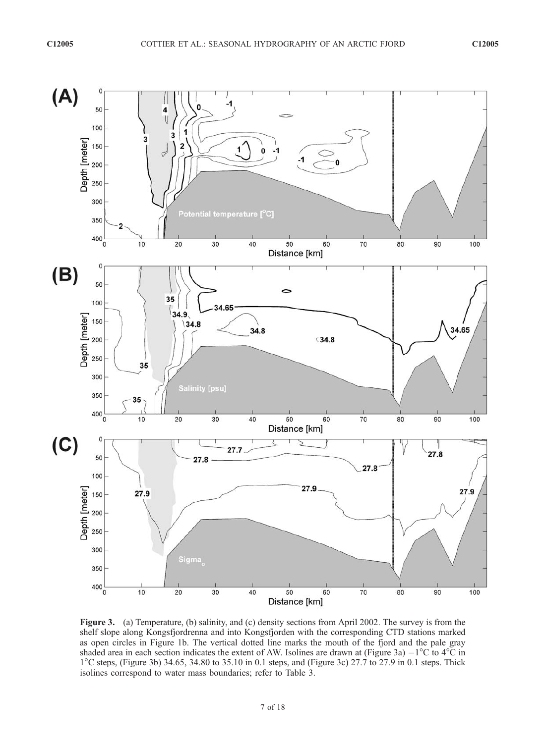

Figure 3. (a) Temperature, (b) salinity, and (c) density sections from April 2002. The survey is from the shelf slope along Kongsfjordrenna and into Kongsfjorden with the corresponding CTD stations marked as open circles in Figure 1b. The vertical dotted line marks the mouth of the fjord and the pale gray shaded area in each section indicates the extent of AW. Isolines are drawn at (Figure 3a)  $-1^{\circ}$ C to  $4^{\circ}$ C in  $1^{\circ}$ C steps, (Figure 3b) 34.65, 34.80 to 35.10 in 0.1 steps, and (Figure 3c) 27.7 to 27.9 in 0.1 steps. Thick isolines correspond to water mass boundaries; refer to Table 3.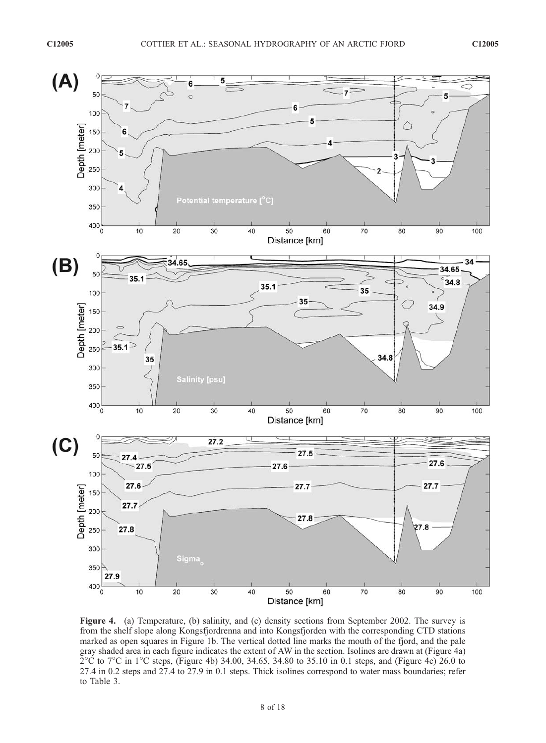

Figure 4. (a) Temperature, (b) salinity, and (c) density sections from September 2002. The survey is from the shelf slope along Kongsfjordrenna and into Kongsfjorden with the corresponding CTD stations marked as open squares in Figure 1b. The vertical dotted line marks the mouth of the fjord, and the pale gray shaded area in each figure indicates the extent of AW in the section. Isolines are drawn at (Figure 4a)  $2^{\circ}$ C to  $7^{\circ}$ C in  $1^{\circ}$ C steps, (Figure 4b) 34.00, 34.65, 34.80 to 35.10 in 0.1 steps, and (Figure 4c) 26.0 to 27.4 in 0.2 steps and 27.4 to 27.9 in 0.1 steps. Thick isolines correspond to water mass boundaries; refer to Table 3.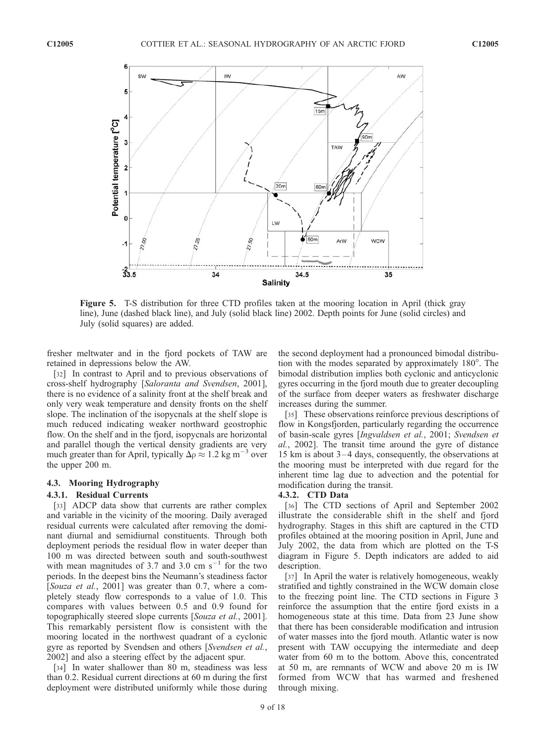

Figure 5. T-S distribution for three CTD profiles taken at the mooring location in April (thick gray line), June (dashed black line), and July (solid black line) 2002. Depth points for June (solid circles) and July (solid squares) are added.

fresher meltwater and in the fjord pockets of TAW are retained in depressions below the AW.

[32] In contrast to April and to previous observations of cross-shelf hydrography [Saloranta and Svendsen, 2001], there is no evidence of a salinity front at the shelf break and only very weak temperature and density fronts on the shelf slope. The inclination of the isopycnals at the shelf slope is much reduced indicating weaker northward geostrophic flow. On the shelf and in the fjord, isopycnals are horizontal and parallel though the vertical density gradients are very much greater than for April, typically  $\Delta \rho \approx 1.2$  kg m<sup>-3</sup> over the upper 200 m.

## 4.3. Mooring Hydrography

## 4.3.1. Residual Currents

[33] ADCP data show that currents are rather complex and variable in the vicinity of the mooring. Daily averaged residual currents were calculated after removing the dominant diurnal and semidiurnal constituents. Through both deployment periods the residual flow in water deeper than 100 m was directed between south and south-southwest with mean magnitudes of 3.7 and 3.0 cm  $s^{-1}$  for the two periods. In the deepest bins the Neumann's steadiness factor [Souza et al., 2001] was greater than 0.7, where a completely steady flow corresponds to a value of 1.0. This compares with values between 0.5 and 0.9 found for topographically steered slope currents [Souza et al., 2001]. This remarkably persistent flow is consistent with the mooring located in the northwest quadrant of a cyclonic gyre as reported by Svendsen and others [Svendsen et al., 2002] and also a steering effect by the adjacent spur.

[34] In water shallower than 80 m, steadiness was less than 0.2. Residual current directions at 60 m during the first deployment were distributed uniformly while those during the second deployment had a pronounced bimodal distribution with the modes separated by approximately  $180^\circ$ . The bimodal distribution implies both cyclonic and anticyclonic gyres occurring in the fjord mouth due to greater decoupling of the surface from deeper waters as freshwater discharge increases during the summer.

[35] These observations reinforce previous descriptions of flow in Kongsfjorden, particularly regarding the occurrence of basin-scale gyres [Ingvaldsen et al., 2001; Svendsen et al., 2002]. The transit time around the gyre of distance 15 km is about 3 – 4 days, consequently, the observations at the mooring must be interpreted with due regard for the inherent time lag due to advection and the potential for modification during the transit.

#### 4.3.2. CTD Data

[36] The CTD sections of April and September 2002 illustrate the considerable shift in the shelf and fjord hydrography. Stages in this shift are captured in the CTD profiles obtained at the mooring position in April, June and July 2002, the data from which are plotted on the T-S diagram in Figure 5. Depth indicators are added to aid description.

[37] In April the water is relatively homogeneous, weakly stratified and tightly constrained in the WCW domain close to the freezing point line. The CTD sections in Figure 3 reinforce the assumption that the entire fjord exists in a homogeneous state at this time. Data from 23 June show that there has been considerable modification and intrusion of water masses into the fjord mouth. Atlantic water is now present with TAW occupying the intermediate and deep water from 60 m to the bottom. Above this, concentrated at 50 m, are remnants of WCW and above 20 m is IW formed from WCW that has warmed and freshened through mixing.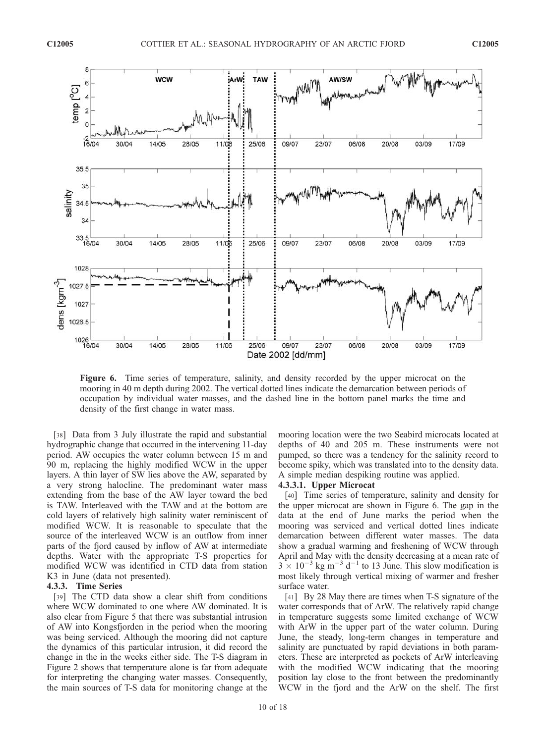

Figure 6. Time series of temperature, salinity, and density recorded by the upper microcat on the mooring in 40 m depth during 2002. The vertical dotted lines indicate the demarcation between periods of occupation by individual water masses, and the dashed line in the bottom panel marks the time and density of the first change in water mass.

[38] Data from 3 July illustrate the rapid and substantial hydrographic change that occurred in the intervening 11-day period. AW occupies the water column between 15 m and 90 m, replacing the highly modified WCW in the upper layers. A thin layer of SW lies above the AW, separated by a very strong halocline. The predominant water mass extending from the base of the AW layer toward the bed is TAW. Interleaved with the TAW and at the bottom are cold layers of relatively high salinity water reminiscent of modified WCW. It is reasonable to speculate that the source of the interleaved WCW is an outflow from inner parts of the fjord caused by inflow of AW at intermediate depths. Water with the appropriate T-S properties for modified WCW was identified in CTD data from station K3 in June (data not presented).

## 4.3.3. Time Series

[39] The CTD data show a clear shift from conditions where WCW dominated to one where AW dominated. It is also clear from Figure 5 that there was substantial intrusion of AW into Kongsfjorden in the period when the mooring was being serviced. Although the mooring did not capture the dynamics of this particular intrusion, it did record the change in the in the weeks either side. The T-S diagram in Figure 2 shows that temperature alone is far from adequate for interpreting the changing water masses. Consequently, the main sources of T-S data for monitoring change at the

mooring location were the two Seabird microcats located at depths of 40 and 205 m. These instruments were not pumped, so there was a tendency for the salinity record to become spiky, which was translated into to the density data. A simple median despiking routine was applied.

#### 4.3.3.1. Upper Microcat

[40] Time series of temperature, salinity and density for the upper microcat are shown in Figure 6. The gap in the data at the end of June marks the period when the mooring was serviced and vertical dotted lines indicate demarcation between different water masses. The data show a gradual warming and freshening of WCW through April and May with the density decreasing at a mean rate of  $3 \times 10^{-3}$  kg m<sup>-3</sup> d<sup>-1</sup> to 13 June. This slow modification is most likely through vertical mixing of warmer and fresher surface water.

[41] By 28 May there are times when T-S signature of the water corresponds that of ArW. The relatively rapid change in temperature suggests some limited exchange of WCW with ArW in the upper part of the water column. During June, the steady, long-term changes in temperature and salinity are punctuated by rapid deviations in both parameters. These are interpreted as pockets of ArW interleaving with the modified WCW indicating that the mooring position lay close to the front between the predominantly WCW in the fjord and the ArW on the shelf. The first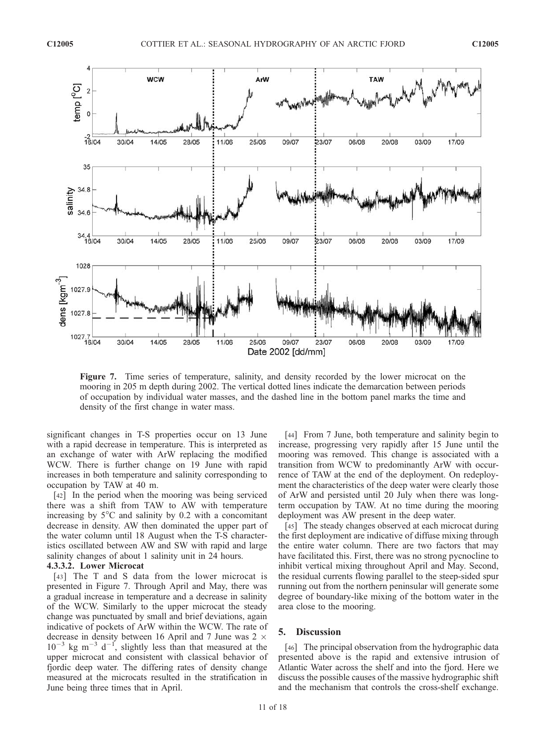

Figure 7. Time series of temperature, salinity, and density recorded by the lower microcat on the mooring in 205 m depth during 2002. The vertical dotted lines indicate the demarcation between periods of occupation by individual water masses, and the dashed line in the bottom panel marks the time and density of the first change in water mass.

significant changes in T-S properties occur on 13 June with a rapid decrease in temperature. This is interpreted as an exchange of water with ArW replacing the modified WCW. There is further change on 19 June with rapid increases in both temperature and salinity corresponding to occupation by TAW at 40 m.

[42] In the period when the mooring was being serviced there was a shift from TAW to AW with temperature increasing by  $5^{\circ}$ C and salinity by 0.2 with a concomitant decrease in density. AW then dominated the upper part of the water column until 18 August when the T-S characteristics oscillated between AW and SW with rapid and large salinity changes of about 1 salinity unit in 24 hours.

# 4.3.3.2. Lower Microcat

[43] The T and S data from the lower microcat is presented in Figure 7. Through April and May, there was a gradual increase in temperature and a decrease in salinity of the WCW. Similarly to the upper microcat the steady change was punctuated by small and brief deviations, again indicative of pockets of ArW within the WCW. The rate of decrease in density between 16 April and 7 June was 2  $\times$  $10^{-3}$  kg m<sup>-3</sup> d<sup>-1</sup>, slightly less than that measured at the upper microcat and consistent with classical behavior of fjordic deep water. The differing rates of density change measured at the microcats resulted in the stratification in June being three times that in April.

[44] From 7 June, both temperature and salinity begin to increase, progressing very rapidly after 15 June until the mooring was removed. This change is associated with a transition from WCW to predominantly ArW with occurrence of TAW at the end of the deployment. On redeployment the characteristics of the deep water were clearly those of ArW and persisted until 20 July when there was longterm occupation by TAW. At no time during the mooring deployment was AW present in the deep water.

[45] The steady changes observed at each microcat during the first deployment are indicative of diffuse mixing through the entire water column. There are two factors that may have facilitated this. First, there was no strong pycnocline to inhibit vertical mixing throughout April and May. Second, the residual currents flowing parallel to the steep-sided spur running out from the northern peninsular will generate some degree of boundary-like mixing of the bottom water in the area close to the mooring.

### 5. Discussion

[46] The principal observation from the hydrographic data presented above is the rapid and extensive intrusion of Atlantic Water across the shelf and into the fjord. Here we discuss the possible causes of the massive hydrographic shift and the mechanism that controls the cross-shelf exchange.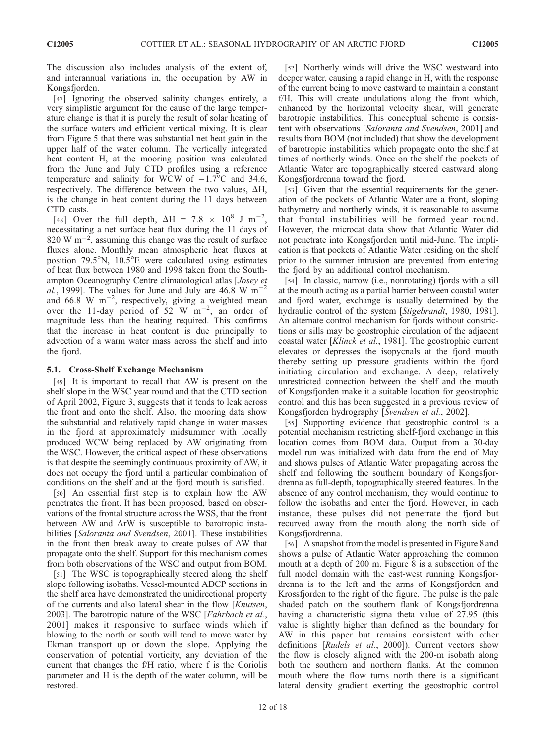The discussion also includes analysis of the extent of, and interannual variations in, the occupation by AW in Kongsfjorden.

[47] Ignoring the observed salinity changes entirely, a very simplistic argument for the cause of the large temperature change is that it is purely the result of solar heating of the surface waters and efficient vertical mixing. It is clear from Figure 5 that there was substantial net heat gain in the upper half of the water column. The vertically integrated heat content H, at the mooring position was calculated from the June and July CTD profiles using a reference temperature and salinity for WCW of  $-1.7^{\circ}$ C and 34.6, respectively. The difference between the two values,  $\Delta H$ , is the change in heat content during the 11 days between CTD casts.

[48] Over the full depth,  $\Delta H = 7.8 \times 10^8$  J m<sup>-2</sup>, necessitating a net surface heat flux during the 11 days of 820 W  $\mathrm{m}^{-2}$ , assuming this change was the result of surface fluxes alone. Monthly mean atmospheric heat fluxes at position  $79.5^{\circ}$ N,  $10.5^{\circ}$ E were calculated using estimates of heat flux between 1980 and 1998 taken from the Southampton Oceanography Centre climatological atlas [Josey et al., 1999]. The values for June and July are  $46.8$  W m<sup>-2</sup> and 66.8 W  $m^{-2}$ , respectively, giving a weighted mean over the 11-day period of  $52 \text{ W m}^{-2}$ , an order of magnitude less than the heating required. This confirms that the increase in heat content is due principally to advection of a warm water mass across the shelf and into the fjord.

## 5.1. Cross-Shelf Exchange Mechanism

[49] It is important to recall that AW is present on the shelf slope in the WSC year round and that the CTD section of April 2002, Figure 3, suggests that it tends to leak across the front and onto the shelf. Also, the mooring data show the substantial and relatively rapid change in water masses in the fjord at approximately midsummer with locally produced WCW being replaced by AW originating from the WSC. However, the critical aspect of these observations is that despite the seemingly continuous proximity of AW, it does not occupy the fjord until a particular combination of conditions on the shelf and at the fjord mouth is satisfied.

[50] An essential first step is to explain how the AW penetrates the front. It has been proposed, based on observations of the frontal structure across the WSS, that the front between AW and ArW is susceptible to barotropic instabilities [Saloranta and Svendsen, 2001]. These instabilities in the front then break away to create pulses of AW that propagate onto the shelf. Support for this mechanism comes from both observations of the WSC and output from BOM.

[51] The WSC is topographically steered along the shelf slope following isobaths. Vessel-mounted ADCP sections in the shelf area have demonstrated the unidirectional property of the currents and also lateral shear in the flow [Knutsen, 2003]. The barotropic nature of the WSC [Fahrbach et al., 2001] makes it responsive to surface winds which if blowing to the north or south will tend to move water by Ekman transport up or down the slope. Applying the conservation of potential vorticity, any deviation of the current that changes the f/H ratio, where f is the Coriolis parameter and H is the depth of the water column, will be restored.

[52] Northerly winds will drive the WSC westward into deeper water, causing a rapid change in H, with the response of the current being to move eastward to maintain a constant f/H. This will create undulations along the front which, enhanced by the horizontal velocity shear, will generate barotropic instabilities. This conceptual scheme is consistent with observations [Saloranta and Svendsen, 2001] and results from BOM (not included) that show the development of barotropic instabilities which propagate onto the shelf at times of northerly winds. Once on the shelf the pockets of Atlantic Water are topographically steered eastward along Kongsfjordrenna toward the fjord.

[53] Given that the essential requirements for the generation of the pockets of Atlantic Water are a front, sloping bathymetry and northerly winds, it is reasonable to assume that frontal instabilities will be formed year round. However, the microcat data show that Atlantic Water did not penetrate into Kongsfjorden until mid-June. The implication is that pockets of Atlantic Water residing on the shelf prior to the summer intrusion are prevented from entering the fjord by an additional control mechanism.

[54] In classic, narrow (i.e., nonrotating) fjords with a sill at the mouth acting as a partial barrier between coastal water and fjord water, exchange is usually determined by the hydraulic control of the system [Stigebrandt, 1980, 1981]. An alternate control mechanism for fjords without constrictions or sills may be geostrophic circulation of the adjacent coastal water [Klinck et al., 1981]. The geostrophic current elevates or depresses the isopycnals at the fjord mouth thereby setting up pressure gradients within the fjord initiating circulation and exchange. A deep, relatively unrestricted connection between the shelf and the mouth of Kongsfjorden make it a suitable location for geostrophic control and this has been suggested in a previous review of Kongsfjorden hydrography [Svendsen et al., 2002].

[55] Supporting evidence that geostrophic control is a potential mechanism restricting shelf-fjord exchange in this location comes from BOM data. Output from a 30-day model run was initialized with data from the end of May and shows pulses of Atlantic Water propagating across the shelf and following the southern boundary of Kongsfjordrenna as full-depth, topographically steered features. In the absence of any control mechanism, they would continue to follow the isobaths and enter the fjord. However, in each instance, these pulses did not penetrate the fjord but recurved away from the mouth along the north side of Kongsfjordrenna.

[56] A snapshot from the model is presented in Figure 8 and shows a pulse of Atlantic Water approaching the common mouth at a depth of 200 m. Figure 8 is a subsection of the full model domain with the east-west running Kongsfjordrenna is to the left and the arms of Kongsfjorden and Krossfjorden to the right of the figure. The pulse is the pale shaded patch on the southern flank of Kongsfjordrenna having a characteristic sigma theta value of 27.95 (this value is slightly higher than defined as the boundary for AW in this paper but remains consistent with other definitions [Rudels et al., 2000]). Current vectors show the flow is closely aligned with the 200-m isobath along both the southern and northern flanks. At the common mouth where the flow turns north there is a significant lateral density gradient exerting the geostrophic control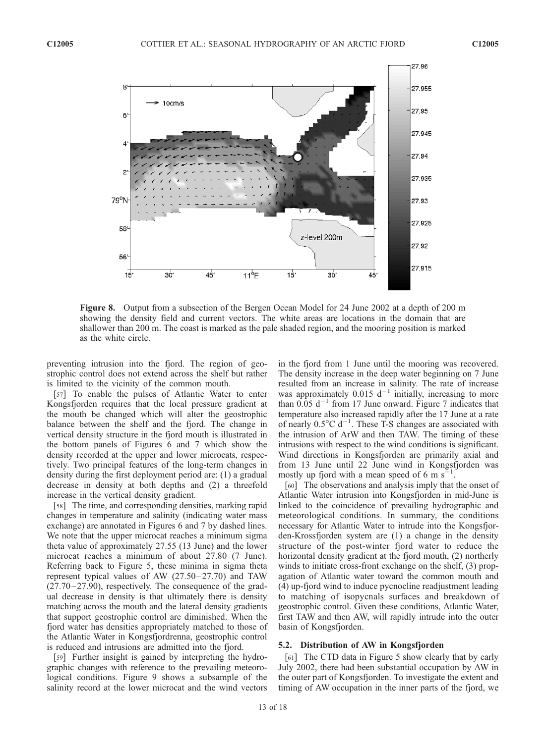

Figure 8. Output from a subsection of the Bergen Ocean Model for 24 June 2002 at a depth of 200 m showing the density field and current vectors. The white areas are locations in the domain that are shallower than 200 m. The coast is marked as the pale shaded region, and the mooring position is marked as the white circle.

preventing intrusion into the fjord. The region of geostrophic control does not extend across the shelf but rather is limited to the vicinity of the common mouth.

[57] To enable the pulses of Atlantic Water to enter Kongsfjorden requires that the local pressure gradient at the mouth be changed which will alter the geostrophic balance between the shelf and the fjord. The change in vertical density structure in the fjord mouth is illustrated in the bottom panels of Figures 6 and 7 which show the density recorded at the upper and lower microcats, respectively. Two principal features of the long-term changes in density during the first deployment period are: (1) a gradual decrease in density at both depths and (2) a threefold increase in the vertical density gradient.

[58] The time, and corresponding densities, marking rapid changes in temperature and salinity (indicating water mass exchange) are annotated in Figures 6 and 7 by dashed lines. We note that the upper microcat reaches a minimum sigma theta value of approximately 27.55 (13 June) and the lower microcat reaches a minimum of about 27.80 (7 June). Referring back to Figure 5, these minima in sigma theta represent typical values of AW  $(27.50-27.70)$  and TAW  $(27.70 - 27.90)$ , respectively. The consequence of the gradual decrease in density is that ultimately there is density matching across the mouth and the lateral density gradients that support geostrophic control are diminished. When the fjord water has densities appropriately matched to those of the Atlantic Water in Kongsfjordrenna, geostrophic control is reduced and intrusions are admitted into the fjord.

[59] Further insight is gained by interpreting the hydrographic changes with reference to the prevailing meteorological conditions. Figure 9 shows a subsample of the salinity record at the lower microcat and the wind vectors in the fjord from 1 June until the mooring was recovered. The density increase in the deep water beginning on 7 June resulted from an increase in salinity. The rate of increase was approximately 0.015  $d^{-1}$  initially, increasing to more than  $0.05$  d<sup>-1</sup> from 17 June onward. Figure 7 indicates that temperature also increased rapidly after the 17 June at a rate of nearly  $0.5^{\circ}$ C d<sup>-1</sup>. These T-S changes are associated with the intrusion of ArW and then TAW. The timing of these intrusions with respect to the wind conditions is significant. Wind directions in Kongsfjorden are primarily axial and from 13 June until 22 June wind in Kongsfjorden was mostly up fjord with a mean speed of 6 m  $s^-$ 1 .

[60] The observations and analysis imply that the onset of Atlantic Water intrusion into Kongsfjorden in mid-June is linked to the coincidence of prevailing hydrographic and meteorological conditions. In summary, the conditions necessary for Atlantic Water to intrude into the Kongsfjorden-Krossfjorden system are (1) a change in the density structure of the post-winter fjord water to reduce the horizontal density gradient at the fjord mouth, (2) northerly winds to initiate cross-front exchange on the shelf, (3) propagation of Atlantic water toward the common mouth and (4) up-fjord wind to induce pycnocline readjustment leading to matching of isopycnals surfaces and breakdown of geostrophic control. Given these conditions, Atlantic Water, first TAW and then AW, will rapidly intrude into the outer basin of Kongsfjorden.

#### 5.2. Distribution of AW in Kongsfjorden

[61] The CTD data in Figure 5 show clearly that by early July 2002, there had been substantial occupation by AW in the outer part of Kongsfjorden. To investigate the extent and timing of AW occupation in the inner parts of the fjord, we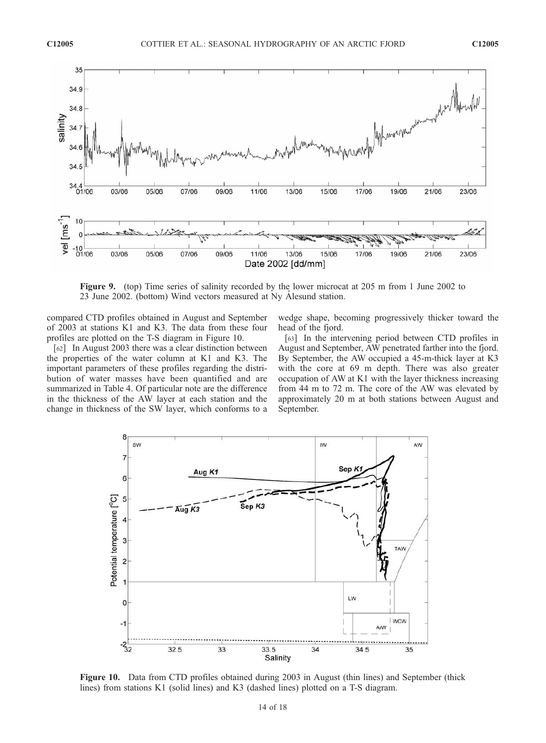

Figure 9. (top) Time series of salinity recorded by the lower microcat at 205 m from 1 June 2002 to 23 June 2002. (bottom) Wind vectors measured at Ny Alesund station.

compared CTD profiles obtained in August and September of 2003 at stations K1 and K3. The data from these four profiles are plotted on the T-S diagram in Figure 10.

[62] In August 2003 there was a clear distinction between the properties of the water column at K1 and K3. The important parameters of these profiles regarding the distribution of water masses have been quantified and are summarized in Table 4. Of particular note are the difference in the thickness of the AW layer at each station and the change in thickness of the SW layer, which conforms to a

wedge shape, becoming progressively thicker toward the head of the fjord.

[63] In the intervening period between CTD profiles in August and September, AW penetrated farther into the fjord. By September, the AW occupied a 45-m-thick layer at K3 with the core at 69 m depth. There was also greater occupation of AW at K1 with the layer thickness increasing from 44 m to 72 m. The core of the AW was elevated by approximately 20 m at both stations between August and September.



Figure 10. Data from CTD profiles obtained during 2003 in August (thin lines) and September (thick lines) from stations K1 (solid lines) and K3 (dashed lines) plotted on a T-S diagram.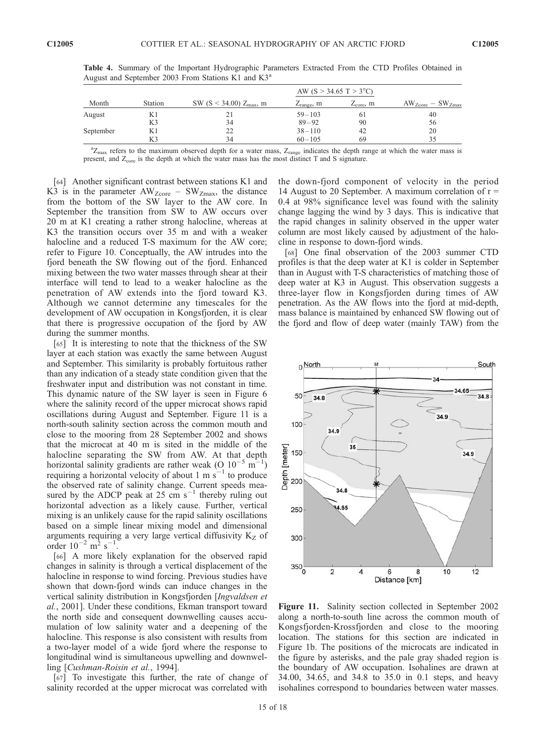|           |         |                                         | AW (S > 34.65 T > $3^{\circ}$ C) |                    |                          |  |
|-----------|---------|-----------------------------------------|----------------------------------|--------------------|--------------------------|--|
| Month     | Station | SW ( $S < 34.00$ ) $Z_{\text{max}}$ , m | $Z_{\text{range}}$ , m           | $Z_{\rm core}$ , m | $AW_{Zcore} - SW_{Zmax}$ |  |
| August    | Кl      |                                         | $59 - 103$                       | 61                 | 40                       |  |
|           | K3      | 34                                      | $89 - 92$                        | 90                 | 56                       |  |
| September | Κ1      |                                         | $38 - 110$                       | -42                | 20                       |  |
|           |         | 34                                      | $60 - 105$                       | 69                 | 35                       |  |

Table 4. Summary of the Important Hydrographic Parameters Extracted From the CTD Profiles Obtained in August and September 2003 From Stations K1 and K3<sup>a</sup>

 ${}^aZ_{\text{max}}$  refers to the maximum observed depth for a water mass,  $Z_{\text{range}}$  indicates the depth range at which the water mass is present, and Z<sub>core</sub> is the depth at which the water mass has the most distinct T and S signature.

[64] Another significant contrast between stations K1 and K3 is in the parameter  $AW_{Zcore} - SW_{Zmax}$ , the distance from the bottom of the SW layer to the AW core. In September the transition from SW to AW occurs over 20 m at K1 creating a rather strong halocline, whereas at K3 the transition occurs over 35 m and with a weaker halocline and a reduced T-S maximum for the AW core; refer to Figure 10. Conceptually, the AW intrudes into the fjord beneath the SW flowing out of the fjord. Enhanced mixing between the two water masses through shear at their interface will tend to lead to a weaker halocline as the penetration of AW extends into the fjord toward K3. Although we cannot determine any timescales for the development of AW occupation in Kongsfjorden, it is clear that there is progressive occupation of the fjord by AW during the summer months.

[65] It is interesting to note that the thickness of the SW layer at each station was exactly the same between August and September. This similarity is probably fortuitous rather than any indication of a steady state condition given that the freshwater input and distribution was not constant in time. This dynamic nature of the SW layer is seen in Figure 6 where the salinity record of the upper microcat shows rapid oscillations during August and September. Figure 11 is a north-south salinity section across the common mouth and close to the mooring from 28 September 2002 and shows that the microcat at 40 m is sited in the middle of the halocline separating the SW from AW. At that depth horizontal salinity gradients are rather weak (O  $10^{-5}$  m<sup>-1</sup> 1 ) requiring a horizontal velocity of about 1 m  $\sin^{-1}$  to produce the observed rate of salinity change. Current speeds measured by the ADCP peak at 25 cm  $s^{-1}$  thereby ruling out horizontal advection as a likely cause. Further, vertical mixing is an unlikely cause for the rapid salinity oscillations based on a simple linear mixing model and dimensional arguments requiring a very large vertical diffusivity  $K_Z$  of order  $10^{-2}$  m<sup>2</sup> s<sup>-1</sup>.

[66] A more likely explanation for the observed rapid changes in salinity is through a vertical displacement of the halocline in response to wind forcing. Previous studies have shown that down-fjord winds can induce changes in the vertical salinity distribution in Kongsfjorden [Ingvaldsen et al., 2001]. Under these conditions, Ekman transport toward the north side and consequent downwelling causes accumulation of low salinity water and a deepening of the halocline. This response is also consistent with results from a two-layer model of a wide fjord where the response to longitudinal wind is simultaneous upwelling and downwelling [Cushman-Roisin et al., 1994].

[67] To investigate this further, the rate of change of salinity recorded at the upper microcat was correlated with

the down-fjord component of velocity in the period 14 August to 20 September. A maximum correlation of  $r =$ 0.4 at 98% significance level was found with the salinity change lagging the wind by 3 days. This is indicative that the rapid changes in salinity observed in the upper water column are most likely caused by adjustment of the halocline in response to down-fjord winds.

[68] One final observation of the 2003 summer CTD profiles is that the deep water at K1 is colder in September than in August with T-S characteristics of matching those of deep water at K3 in August. This observation suggests a three-layer flow in Kongsfjorden during times of AW penetration. As the AW flows into the fjord at mid-depth, mass balance is maintained by enhanced SW flowing out of the fjord and flow of deep water (mainly TAW) from the



Figure 11. Salinity section collected in September 2002 along a north-to-south line across the common mouth of Kongsfjorden-Krossfjorden and close to the mooring location. The stations for this section are indicated in Figure 1b. The positions of the microcats are indicated in the figure by asterisks, and the pale gray shaded region is the boundary of AW occupation. Isohalines are drawn at 34.00, 34.65, and 34.8 to 35.0 in 0.1 steps, and heavy isohalines correspond to boundaries between water masses.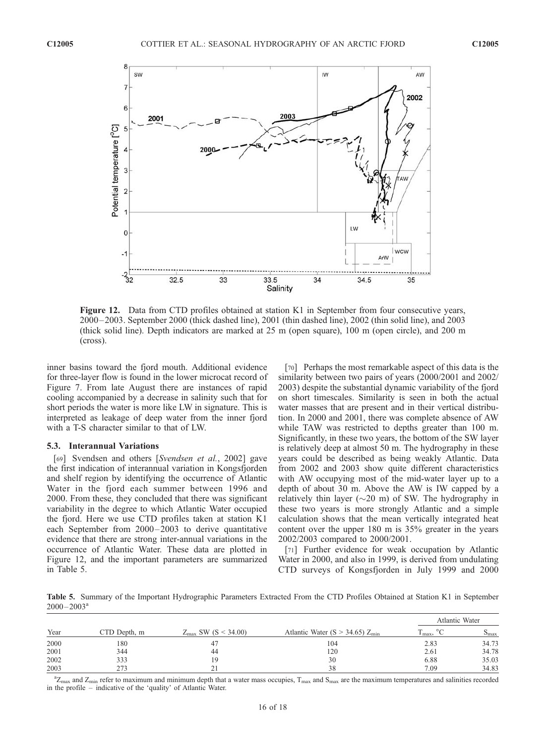

Figure 12. Data from CTD profiles obtained at station K1 in September from four consecutive years, 2000 –2003. September 2000 (thick dashed line), 2001 (thin dashed line), 2002 (thin solid line), and 2003 (thick solid line). Depth indicators are marked at 25 m (open square), 100 m (open circle), and 200 m (cross).

inner basins toward the fjord mouth. Additional evidence for three-layer flow is found in the lower microcat record of Figure 7. From late August there are instances of rapid cooling accompanied by a decrease in salinity such that for short periods the water is more like LW in signature. This is interpreted as leakage of deep water from the inner fjord with a T-S character similar to that of LW.

## 5.3. Interannual Variations

[69] Svendsen and others [Svendsen et al., 2002] gave the first indication of interannual variation in Kongsfjorden and shelf region by identifying the occurrence of Atlantic Water in the fjord each summer between 1996 and 2000. From these, they concluded that there was significant variability in the degree to which Atlantic Water occupied the fjord. Here we use CTD profiles taken at station K1 each September from 2000–2003 to derive quantitative evidence that there are strong inter-annual variations in the occurrence of Atlantic Water. These data are plotted in Figure 12, and the important parameters are summarized in Table 5.

[70] Perhaps the most remarkable aspect of this data is the similarity between two pairs of years (2000/2001 and 2002/ 2003) despite the substantial dynamic variability of the fjord on short timescales. Similarity is seen in both the actual water masses that are present and in their vertical distribution. In 2000 and 2001, there was complete absence of AW while TAW was restricted to depths greater than 100 m. Significantly, in these two years, the bottom of the SW layer is relatively deep at almost 50 m. The hydrography in these years could be described as being weakly Atlantic. Data from 2002 and 2003 show quite different characteristics with AW occupying most of the mid-water layer up to a depth of about 30 m. Above the AW is IW capped by a relatively thin layer  $(\sim 20 \text{ m})$  of SW. The hydrography in these two years is more strongly Atlantic and a simple calculation shows that the mean vertically integrated heat content over the upper 180 m is 35% greater in the years 2002/2003 compared to 2000/2001.

[71] Further evidence for weak occupation by Atlantic Water in 2000, and also in 1999, is derived from undulating CTD surveys of Kongsfjorden in July 1999 and 2000

Table 5. Summary of the Important Hydrographic Parameters Extracted From the CTD Profiles Obtained at Station K1 in September  $2000 - 2003$ <sup>a</sup>

|      |              |                                 |                                                 | Atlantic Water    |                            |
|------|--------------|---------------------------------|-------------------------------------------------|-------------------|----------------------------|
| Year | CTD Depth, m | $Z_{\text{max}}$ SW (S < 34.00) | Atlantic Water ( $S > 34.65$ ) Z <sub>min</sub> | $\circ$<br>I max, | $\mathcal{D}_{\text{max}}$ |
| 2000 | 180          |                                 | 104                                             | 2.83              | 34.73                      |
| 2001 | 344          | 44                              | 120                                             | 2.61              | 34.78                      |
| 2002 | 333          | <b>Q</b>                        | 30                                              | 6.88              | 35.03                      |
| 2003 | 273          |                                 | 38                                              | 7.09              | 34.83                      |

 ${}^{\text{a}}Z_{\text{max}}$  and  $Z_{\text{min}}$  refer to maximum and minimum depth that a water mass occupies,  $T_{\text{max}}$  and  $S_{\text{max}}$  are the maximum temperatures and salinities recorded in the profile – indicative of the 'quality' of Atlantic Water.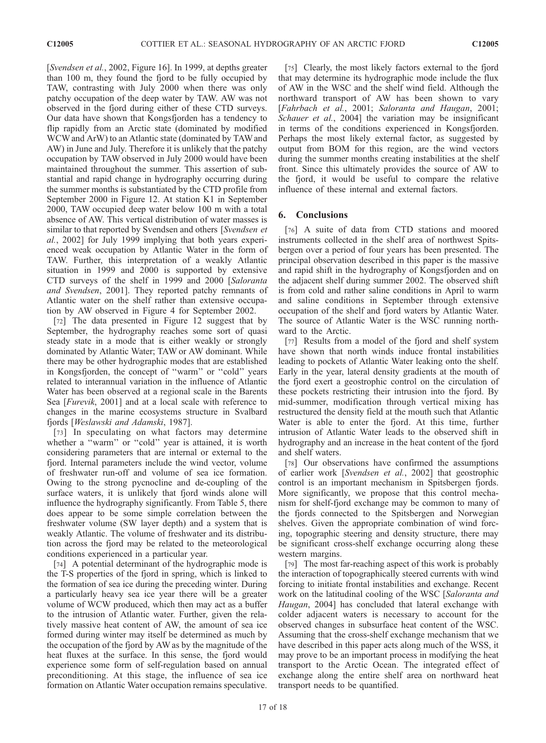[Svendsen et al., 2002, Figure 16]. In 1999, at depths greater than 100 m, they found the fjord to be fully occupied by TAW, contrasting with July 2000 when there was only patchy occupation of the deep water by TAW. AW was not observed in the fjord during either of these CTD surveys. Our data have shown that Kongsfjorden has a tendency to flip rapidly from an Arctic state (dominated by modified WCW and ArW) to an Atlantic state (dominated by TAW and AW) in June and July. Therefore it is unlikely that the patchy occupation by TAW observed in July 2000 would have been maintained throughout the summer. This assertion of substantial and rapid change in hydrography occurring during the summer months is substantiated by the CTD profile from September 2000 in Figure 12. At station K1 in September 2000, TAW occupied deep water below 100 m with a total absence of AW. This vertical distribution of water masses is similar to that reported by Svendsen and others [Svendsen et] al., 2002] for July 1999 implying that both years experienced weak occupation by Atlantic Water in the form of TAW. Further, this interpretation of a weakly Atlantic situation in 1999 and 2000 is supported by extensive CTD surveys of the shelf in 1999 and 2000 [Saloranta and Svendsen, 2001]. They reported patchy remnants of Atlantic water on the shelf rather than extensive occupation by AW observed in Figure 4 for September 2002.

[72] The data presented in Figure 12 suggest that by September, the hydrography reaches some sort of quasi steady state in a mode that is either weakly or strongly dominated by Atlantic Water; TAW or AW dominant. While there may be other hydrographic modes that are established in Kongsfjorden, the concept of ''warm'' or ''cold'' years related to interannual variation in the influence of Atlantic Water has been observed at a regional scale in the Barents Sea [Furevik, 2001] and at a local scale with reference to changes in the marine ecosystems structure in Svalbard fjords [Weslawski and Adamski, 1987].

[73] In speculating on what factors may determine whether a "warm" or "cold" year is attained, it is worth considering parameters that are internal or external to the fjord. Internal parameters include the wind vector, volume of freshwater run-off and volume of sea ice formation. Owing to the strong pycnocline and de-coupling of the surface waters, it is unlikely that fjord winds alone will influence the hydrography significantly. From Table 5, there does appear to be some simple correlation between the freshwater volume (SW layer depth) and a system that is weakly Atlantic. The volume of freshwater and its distribution across the fjord may be related to the meteorological conditions experienced in a particular year.

[74] A potential determinant of the hydrographic mode is the T-S properties of the fjord in spring, which is linked to the formation of sea ice during the preceding winter. During a particularly heavy sea ice year there will be a greater volume of WCW produced, which then may act as a buffer to the intrusion of Atlantic water. Further, given the relatively massive heat content of AW, the amount of sea ice formed during winter may itself be determined as much by the occupation of the fjord by AW as by the magnitude of the heat fluxes at the surface. In this sense, the fjord would experience some form of self-regulation based on annual preconditioning. At this stage, the influence of sea ice formation on Atlantic Water occupation remains speculative.

[75] Clearly, the most likely factors external to the fjord that may determine its hydrographic mode include the flux of AW in the WSC and the shelf wind field. Although the northward transport of AW has been shown to vary [Fahrbach et al., 2001; Saloranta and Haugan, 2001; Schauer et al., 2004] the variation may be insignificant in terms of the conditions experienced in Kongsfjorden. Perhaps the most likely external factor, as suggested by output from BOM for this region, are the wind vectors during the summer months creating instabilities at the shelf front. Since this ultimately provides the source of AW to the fjord, it would be useful to compare the relative influence of these internal and external factors.

# 6. Conclusions

[76] A suite of data from CTD stations and moored instruments collected in the shelf area of northwest Spitsbergen over a period of four years has been presented. The principal observation described in this paper is the massive and rapid shift in the hydrography of Kongsfjorden and on the adjacent shelf during summer 2002. The observed shift is from cold and rather saline conditions in April to warm and saline conditions in September through extensive occupation of the shelf and fjord waters by Atlantic Water. The source of Atlantic Water is the WSC running northward to the Arctic.

[77] Results from a model of the fjord and shelf system have shown that north winds induce frontal instabilities leading to pockets of Atlantic Water leaking onto the shelf. Early in the year, lateral density gradients at the mouth of the fjord exert a geostrophic control on the circulation of these pockets restricting their intrusion into the fjord. By mid-summer, modification through vertical mixing has restructured the density field at the mouth such that Atlantic Water is able to enter the fjord. At this time, further intrusion of Atlantic Water leads to the observed shift in hydrography and an increase in the heat content of the fjord and shelf waters.

[78] Our observations have confirmed the assumptions of earlier work [Svendsen et al., 2002] that geostrophic control is an important mechanism in Spitsbergen fjords. More significantly, we propose that this control mechanism for shelf-fjord exchange may be common to many of the fjords connected to the Spitsbergen and Norwegian shelves. Given the appropriate combination of wind forcing, topographic steering and density structure, there may be significant cross-shelf exchange occurring along these western margins.

[79] The most far-reaching aspect of this work is probably the interaction of topographically steered currents with wind forcing to initiate frontal instabilities and exchange. Recent work on the latitudinal cooling of the WSC [Saloranta and Haugan, 2004] has concluded that lateral exchange with colder adjacent waters is necessary to account for the observed changes in subsurface heat content of the WSC. Assuming that the cross-shelf exchange mechanism that we have described in this paper acts along much of the WSS, it may prove to be an important process in modifying the heat transport to the Arctic Ocean. The integrated effect of exchange along the entire shelf area on northward heat transport needs to be quantified.